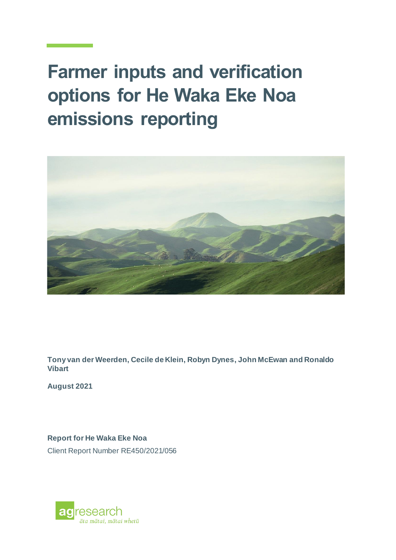# **Farmer inputs and verification options for He Waka Eke Noa emissions reporting**



**Tony van der Weerden, Cecile de Klein, Robyn Dynes, John McEwan and Ronaldo Vibart**

**August 2021**

**Report for He Waka Eke Noa**

Client Report Number RE450/2021/056

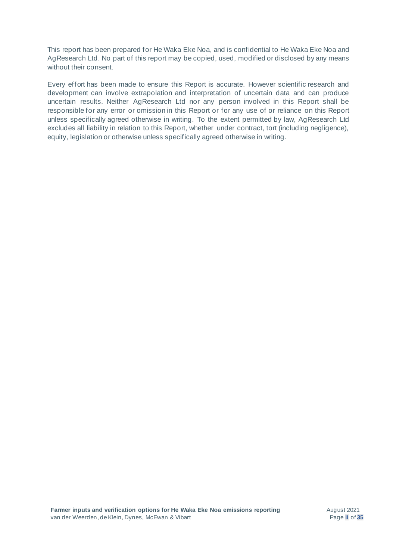This report has been prepared for He Waka Eke Noa, and is confidential to He Waka Eke Noa and AgResearch Ltd. No part of this report may be copied, used, modified or disclosed by any means without their consent.

Every effort has been made to ensure this Report is accurate. However scientific research and development can involve extrapolation and interpretation of uncertain data and can produce uncertain results. Neither AgResearch Ltd nor any person involved in this Report shall be responsible for any error or omission in this Report or for any use of or reliance on this Report unless specifically agreed otherwise in writing. To the extent permitted by law, AgResearch Ltd excludes all liability in relation to this Report, whether under contract, tort (including negligence), equity, legislation or otherwise unless specifically agreed otherwise in writing.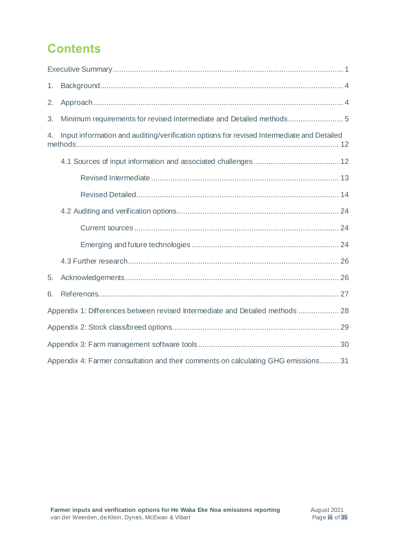# **Contents**

| 1. |                                                                                           |
|----|-------------------------------------------------------------------------------------------|
| 2. |                                                                                           |
| 3. |                                                                                           |
| 4. | Input information and auditing/verification options for revised Intermediate and Detailed |
|    |                                                                                           |
|    |                                                                                           |
|    |                                                                                           |
|    |                                                                                           |
|    |                                                                                           |
|    |                                                                                           |
|    |                                                                                           |
| 5. |                                                                                           |
| 6. |                                                                                           |
|    | Appendix 1: Differences between revised Intermediate and Detailed methods  28             |
|    |                                                                                           |
|    |                                                                                           |
|    | Appendix 4: Farmer consultation and their comments on calculating GHG emissions 31        |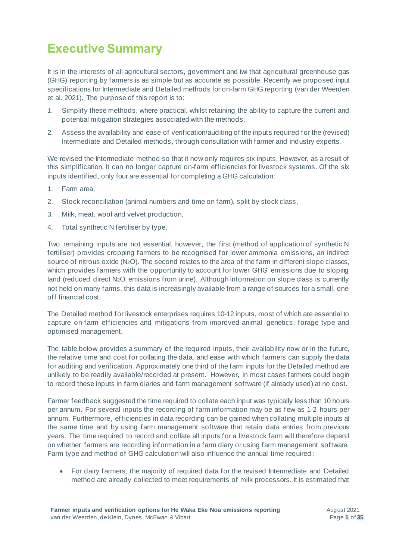# <span id="page-4-0"></span>**Executive Summary**

It is in the interests of all agricultural sectors, government and iwi that agricultural greenhouse gas (GHG) reporting by farmers is as simple but as accurate as possible. Recently we proposed input specifications for Intermediate and Detailed methods for on-farm GHG reporting (van der Weerden et al. 2021). The purpose of this report is to:

- 1. Simplify these methods, where practical, whilst retaining the ability to capture the current and potential mitigation strategies associated with the methods.
- 2. Assess the availability and ease of verification/auditing of the inputs required for the (revised) Intermediate and Detailed methods, through consultation with farmer and industry experts.

We revised the Intermediate method so that it now only requires six inputs. However, as a result of this simplification, it can no longer capture on-farm efficiencies for livestock systems. Of the six inputs identified, only four are essential for completing a GHG calculation:

- 1. Farm area,
- 2. Stock reconciliation (animal numbers and time on farm), split by stock class,
- 3. Milk, meat, wool and velvet production,
- 4. Total synthetic N fertiliser by type.

Two remaining inputs are not essential, however, the first (method of application of synthetic N fertiliser) provides cropping farmers to be recognised for lower ammonia emissions, an indirect source of nitrous oxide (N<sub>2</sub>O). The second relates to the area of the farm in different slope classes, which provides farmers with the opportunity to account for lower GHG emissions due to sloping land (reduced direct N<sub>2</sub>O emissions from urine). Although information on slope class is currently not held on many farms, this data is increasingly available from a range of sources for a small, oneoff financial cost.

The Detailed method for livestock enterprises requires 10-12 inputs, most of which are essential to capture on-farm efficiencies and mitigations from improved animal genetics, forage type and optimised management.

The table below provides a summary of the required inputs, their availability now or in the future, the relative time and cost for collating the data, and ease with which farmers can supply the data for auditing and verification. Approximately one third of the farm inputs for the Detailed method are unlikely to be readily available/recorded at present. However, in most cases farmers could begin to record these inputs in farm diaries and farm management software (if already used) at no cost.

Farmer feedback suggested the time required to collate each input was typically less than 10 hours per annum. For several inputs the recording of farm information may be as few as 1-2 hours per annum. Furthermore, efficiencies in data recording can be gained when collating multiple inputs at the same time and by using farm management software that retain data entries from previous years. The time required to record and collate all inputs for a livestock farm will therefore depend on whether farmers are recording information in a farm diary or using farm management software. Farm type and method of GHG calculation will also influence the annual time required :

• For dairy farmers, the majority of required data for the revised Intermediate and Detailed method are already collected to meet requirements of milk processors. It is estimated that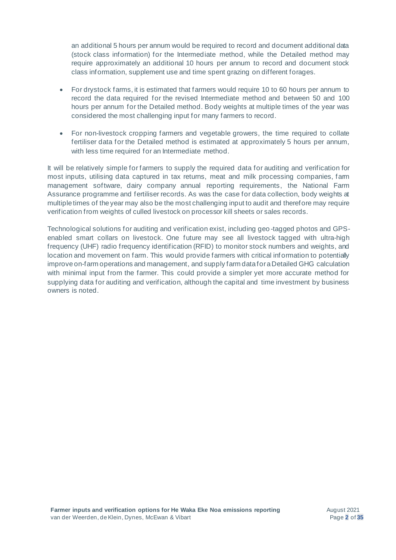an additional 5 hours per annum would be required to record and document additional data (stock class information) for the Intermediate method, while the Detailed method may require approximately an additional 10 hours per annum to record and document stock class information, supplement use and time spent grazing on different forages.

- For drystock farms, it is estimated that farmers would require 10 to 60 hours per annum to record the data required for the revised Intermediate method and between 50 and 100 hours per annum for the Detailed method. Body weights at multiple times of the year was considered the most challenging input for many farmers to record.
- For non-livestock cropping farmers and vegetable growers, the time required to collate fertiliser data for the Detailed method is estimated at approximately 5 hours per annum, with less time required for an Intermediate method.

It will be relatively simple for farmers to supply the required data for auditing and verification for most inputs, utilising data captured in tax returns, meat and milk processing companies, farm management software, dairy company annual reporting requirements, the National Farm Assurance programme and fertiliser records. As was the case for data collection, body weights at multiple times of the year may also be the most challenging input to audit and therefore may require verification from weights of culled livestock on processor kill sheets or sales records.

Technological solutions for auditing and verification exist, including geo -tagged photos and GPSenabled smart collars on livestock. One future may see all livestock tagged with ultra-high frequency (UHF) radio frequency identification (RFID) to monitor stock numbers and weights, and location and movement on farm. This would provide farmers with critical information to potentially improve on-farm operations and management, and supply farm data for a Detailed GHG calculation with minimal input from the farmer. This could provide a simpler yet more accurate method for supplying data for auditing and verification, although the capital and time investment by business owners is noted.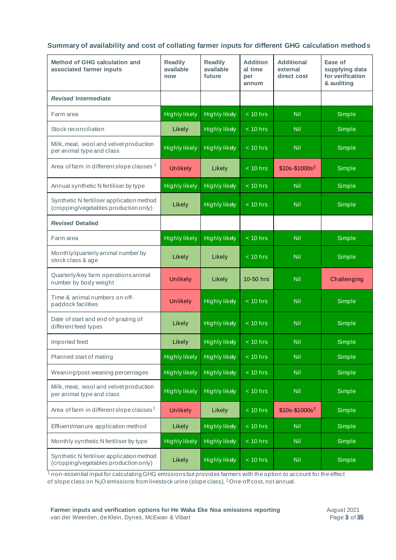**Summary of availability and cost of collating farmer inputs for different GHG calculation methods**

| Method of GHG calculation and<br>associated farmer inputs                          | <b>Readily</b><br>available<br>now | <b>Readily</b><br>available<br>future | <b>Addition</b><br>al time<br>per<br>annum | <b>Additional</b><br>external<br>direct cost | Ease of<br>supplying data<br>for verification<br>& auditing |
|------------------------------------------------------------------------------------|------------------------------------|---------------------------------------|--------------------------------------------|----------------------------------------------|-------------------------------------------------------------|
| <b>Revised Intermediate</b>                                                        |                                    |                                       |                                            |                                              |                                                             |
| Farm area                                                                          | <b>Highly likely</b>               | <b>Highly likely</b>                  | $< 10$ hrs                                 | Nil                                          | Simple                                                      |
| Stock reconciliation                                                               | Likely                             | <b>Highly likely</b>                  | $\sqrt{2}$ 10 hrs                          | Nil                                          | Simple                                                      |
| Milk, meat, wool and velvet production<br>per animal type and class                | <b>Highly likely</b>               | <b>Highly likely</b>                  | $< 10$ hrs                                 | Nil                                          | Simple                                                      |
| Area of farm in different slope classes <sup>1</sup>                               | <b>Unlikely</b>                    | Likely                                | $< 10$ hrs                                 | $$10s-$1000s2$                               | Simple                                                      |
| Annual synthetic N fertiliser by type                                              | <b>Highly likely</b>               | <b>Highly likely</b>                  | $< 10$ hrs                                 | Nil                                          | Simple                                                      |
| Synthetic N fertiliser application method<br>(cropping/vegetables production only) | Likely                             | <b>Highly likely</b>                  | $< 10$ hrs                                 | <b>Nil</b>                                   | Simple                                                      |
| <b>Revised Detailed</b>                                                            |                                    |                                       |                                            |                                              |                                                             |
| Farm area                                                                          | <b>Highly likely</b>               | <b>Highly likely</b>                  | $< 10$ hrs                                 | <b>Nil</b>                                   | Simple                                                      |
| Monthly/quarterly animal number by<br>stock class & age                            | Likely                             | Likely                                | $< 10$ hrs                                 | Nil                                          | Simple                                                      |
| Quarterly/key farm operations animal<br>number by body weight                      | <b>Unlikely</b>                    | Likely                                | 10-50 hrs                                  | Nil                                          | Challenging                                                 |
| Time & animal numbers on off-<br>paddock facilities                                | <b>Unlikely</b>                    | <b>Highly likely</b>                  | $< 10$ hrs                                 | <b>Nil</b>                                   | Simple                                                      |
| Date of start and end of grazing of<br>different feed types                        | Likely                             | <b>Highly likely</b>                  | $< 10$ hrs                                 | <b>Nil</b>                                   | Simple                                                      |
| Imported feed                                                                      | Likely                             | <b>Highly likely</b>                  | $< 10$ hrs                                 | <b>Nil</b>                                   | Simple                                                      |
| Planned start of mating                                                            | <b>Highly likely</b>               | <b>Highly likely</b>                  | $< 10$ hrs                                 | <b>Nil</b>                                   | Simple                                                      |
| Weaning/post-weaning percentages                                                   | <b>Highly likely</b>               | <b>Highly likely</b>                  | $< 10$ hrs                                 | <b>Nil</b>                                   | Simple                                                      |
| Milk, meat, wool and velvet production<br>per animal type and class                | <b>Highly likely</b>               | <b>Highly likely</b>                  | $< 10$ hrs                                 | <b>Nil</b>                                   | Simple                                                      |
| Area of farm in different slope classes <sup>1</sup>                               | <b>Unlikely</b>                    | Likely                                | $< 10$ hrs                                 | $$10s-$1000s2$                               | Simple                                                      |
| Effluent/manure application method                                                 | Likely                             | <b>Highly likely</b>                  | $\frac{1}{2}$ 10 hrs                       | <b>Nil</b>                                   | Simple                                                      |
| Monthly synthetic N fertiliser by type                                             | <b>Highly likely</b>               | <b>Highly likely</b>                  | $< 10$ hrs                                 | <b>Nil</b>                                   | Simple                                                      |
| Synthetic N fertiliser application method<br>(cropping/vegetables production only) | Likely                             | <b>Highly likely</b>                  | $< 10$ hrs                                 | <b>Nil</b>                                   | Simple                                                      |

 $^1$  non-essential input for calculating GHG emissions but provides farmers with the option to account for the effect of slope class on N<sub>2</sub>O emissions from livestock urine (slope class). <sup>2</sup> One-off cost, not annual.

**Farmer inputs and verification options for He Waka Eke Noa emissions reporting** van der Weerden, de Klein, Dynes, McEwan & Vibart

August 2021 Page **3** of **35**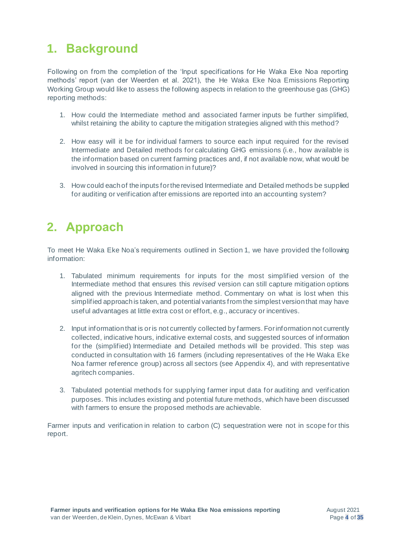# <span id="page-7-0"></span>**1. Background**

Following on from the completion of the 'Input specifications for He Waka Eke Noa reporting methods' report (van der Weerden et al. 2021), the He Waka Eke Noa Emissions Reporting Working Group would like to assess the following aspects in relation to the greenhouse gas (GHG) reporting methods:

- 1. How could the Intermediate method and associated farmer inputs be further simplified, whilst retaining the ability to capture the mitigation strategies aligned with this method?
- 2. How easy will it be for individual farmers to source each input required for the revised Intermediate and Detailed methods for calculating GHG emissions (i.e., how available is the information based on current farming practices and, if not available now, what would be involved in sourcing this information in future)?
- 3. How could each of the inputs for the revised Intermediate and Detailed methods be supplied for auditing or verification after emissions are reported into an accounting system?

# <span id="page-7-1"></span>**2. Approach**

To meet He Waka Eke Noa's requirements outlined in Section 1, we have provided the following information:

- 1. Tabulated minimum requirements for inputs for the most simplified version of the Intermediate method that ensures this *revised* version can still capture mitigation options aligned with the previous Intermediate method. Commentary on what is lost when this simplified approach is taken, and potential variants from the simplest version that may have useful advantages at little extra cost or effort, e.g., accuracy or incentives.
- 2. Input information that is oris not currently collected by farmers. For information not currently collected, indicative hours, indicative external costs, and suggested sources of information for the (simplified) Intermediate and Detailed methods will be provided. This step was conducted in consultation with 16 farmers (including representatives of the He Waka Eke Noa farmer reference group) across all sectors (see Appendix 4), and with representative agritech companies.
- 3. Tabulated potential methods for supplying farmer input data for auditing and verification purposes. This includes existing and potential future methods, which have been discussed with farmers to ensure the proposed methods are achievable.

Farmer inputs and verification in relation to carbon (C) sequestration were not in scope for this report.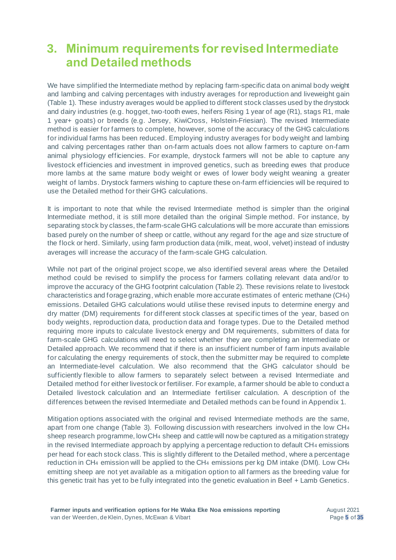# <span id="page-8-0"></span>**3. Minimum requirements for revised Intermediate and Detailed methods**

We have simplified the Intermediate method by replacing farm-specific data on animal body weight and lambing and calving percentages with industry averages for reproduction and liveweight gain (Table 1). These industry averages would be applied to different stock classes used by the drystock and dairy industries (e.g. hogget, two-tooth ewes, heifers Rising 1 year of age (R1), stags R1, male 1 year+ goats) or breeds (e.g. Jersey, KiwiCross, Holstein-Friesian). The revised Intermediate method is easier for farmers to complete, however, some of the accuracy of the GHG calculations for individual farms has been reduced. Employing industry averages for body weight and lambing and calving percentages rather than on-farm actuals does not allow farmers to capture on-farm animal physiology efficiencies. For example, drystock farmers will not be able to capture any livestock efficiencies and investment in improved genetics, such as breeding ewes that produce more lambs at the same mature body weight or ewes of lower body weight weaning a greater weight of lambs. Drystock farmers wishing to capture these on-farm efficiencies will be required to use the Detailed method for their GHG calculations.

It is important to note that while the revised Intermediate method is simpler than the original Intermediate method, it is still more detailed than the original Simple method. For instance, by separating stock by classes, the farm-scale GHG calculations will be more accurate than emissions based purely on the number of sheep or cattle, without any regard for the age and size structure of the flock or herd. Similarly, using farm production data (milk, meat, wool, velvet) instead of industry averages will increase the accuracy of the farm-scale GHG calculation.

While not part of the original project scope, we also identified several areas where the Detailed method could be revised to simplify the process for farmers collating relevant data and/or to improve the accuracy of the GHG footprint calculation (Table 2). These revisions relate to livestock characteristics and forage grazing, which enable more accurate estimates of enteric methane (CH4) emissions. Detailed GHG calculations would utilise these revised inputs to determine energy and dry matter (DM) requirements for different stock classes at specific times of the year, based on body weights, reproduction data, production data and forage types. Due to the Detailed method requiring more inputs to calculate livestock energy and DM requirements, submitters of data for farm-scale GHG calculations will need to select whether they are completing an Intermediate or Detailed approach. We recommend that if there is an insufficient number of farm inputs available for calculating the energy requirements of stock, then the submitter may be required to complete an Intermediate-level calculation. We also recommend that the GHG calculator should be sufficiently flexible to allow farmers to separately select between a revised Intermediate and Detailed method for either livestock or fertiliser. For example, a farmer should be able to conduct a Detailed livestock calculation and an Intermediate fertiliser calculation. A description of the differences between the revised Intermediate and Detailed methods can be found in Appendix 1.

Mitigation options associated with the original and revised Intermediate methods are the same, apart from one change (Table 3). Following discussion with researchers involved in the low CH<sup>4</sup> sheep research programme, low CH<sup>4</sup> sheep and cattle will now be captured as a mitigation strategy in the revised Intermediate approach by applying a percentage reduction to default CH<sup>4</sup> emissions per head for each stock class. This is slightly different to the Detailed method, where a percentage reduction in CH<sup>4</sup> emission will be applied to the CH<sup>4</sup> emissions per kg DM intake (DMI). Low CH<sup>4</sup> emitting sheep are not yet available as a mitigation option to all farmers as the breeding value for this genetic trait has yet to be fully integrated into the genetic evaluation in Beef + Lamb Genetics.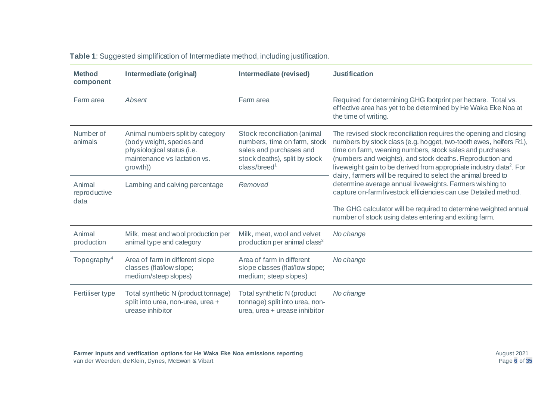| <b>Table 1:</b> Suggested simplification of Intermediate method, including justification. |  |
|-------------------------------------------------------------------------------------------|--|
|-------------------------------------------------------------------------------------------|--|

| <b>Method</b><br>component     | Intermediate (original)<br>Intermediate (revised)                                                                                       |                                                                                                                                                      | <b>Justification</b>                                                                                                                                                                                                                                                                                                                                                                                                |  |
|--------------------------------|-----------------------------------------------------------------------------------------------------------------------------------------|------------------------------------------------------------------------------------------------------------------------------------------------------|---------------------------------------------------------------------------------------------------------------------------------------------------------------------------------------------------------------------------------------------------------------------------------------------------------------------------------------------------------------------------------------------------------------------|--|
| Farm area                      | Absent                                                                                                                                  | Farm area                                                                                                                                            | Required for determining GHG footprint per hectare. Total vs.<br>effective area has yet to be determined by He Waka Eke Noa at<br>the time of writing.                                                                                                                                                                                                                                                              |  |
| Number of<br>animals           | Animal numbers split by category<br>(body weight, species and<br>physiological status (i.e.<br>maintenance vs lactation vs.<br>growth)) | Stock reconciliation (animal<br>numbers, time on farm, stock<br>sales and purchases and<br>stock deaths), split by stock<br>class/breed <sup>1</sup> | The revised stock reconciliation requires the opening and closing<br>numbers by stock class (e.g. hogget, two-tooth ewes, heifers R1),<br>time on farm, weaning numbers, stock sales and purchases<br>(numbers and weights), and stock deaths. Reproduction and<br>liveweight gain to be derived from appropriate industry data <sup>2</sup> . For<br>dairy, farmers will be required to select the animal breed to |  |
| Animal<br>reproductive<br>data | Lambing and calving percentage                                                                                                          | Removed                                                                                                                                              | determine average annual liveweights. Farmers wishing to<br>capture on-farm livestock efficiencies can use Detailed method.                                                                                                                                                                                                                                                                                         |  |
|                                |                                                                                                                                         |                                                                                                                                                      | The GHG calculator will be required to determine weighted annual<br>number of stock using dates entering and exiting farm.                                                                                                                                                                                                                                                                                          |  |
| Animal<br>production           | Milk, meat and wool production per<br>animal type and category                                                                          | Milk, meat, wool and velvet<br>production per animal class <sup>3</sup>                                                                              | No change                                                                                                                                                                                                                                                                                                                                                                                                           |  |
| Topography <sup>4</sup>        | Area of farm in different slope<br>classes (flat/low slope;<br>medium/steep slopes)                                                     | Area of farm in different<br>slope classes (flat/low slope;<br>medium; steep slopes)                                                                 | No change                                                                                                                                                                                                                                                                                                                                                                                                           |  |
| Fertiliser type                | Total synthetic N (product tonnage)<br>split into urea, non-urea, urea +<br>urease inhibitor                                            | Total synthetic N (product<br>tonnage) split into urea, non-<br>urea, urea + urease inhibitor                                                        | No change                                                                                                                                                                                                                                                                                                                                                                                                           |  |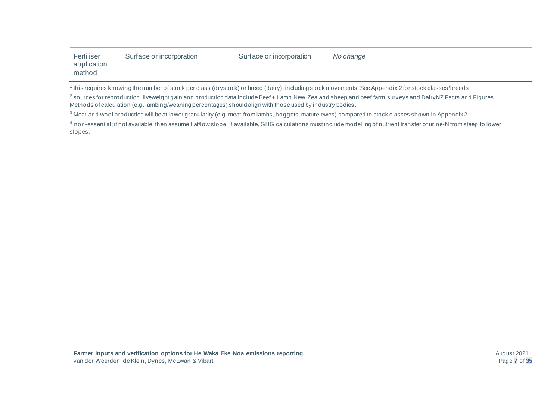| Fertiliser<br>application<br>method                                                                                                                              | Surface or incorporation | Surface or incorporation | No change |  |  |  |  |  |
|------------------------------------------------------------------------------------------------------------------------------------------------------------------|--------------------------|--------------------------|-----------|--|--|--|--|--|
| <sup>1</sup> this requires knowing the number of stock per class (drystock) or breed (dairy), including stock movements. See Appendix 2 for stock classes/breeds |                          |                          |           |  |  |  |  |  |

<sup>2</sup> sources for reproduction, liveweight gain and production data include Beef + Lamb New Zealand sheep and beef farm surveys and DairyNZ Facts and Figures. Methods of calculation (e.g. lambing/weaning percentages) should align with those used by industry bodies .

<sup>3</sup> Meat and wool production will be at lower granularity (e.g. meat from lambs, hoggets, mature ewes) compared to stock classes shown in Appendix 2

4 non-essential; if not available, then assume flat/low slope. If available, GHG calculations must include modelling of nutrient transfer of urine-N from steep to lower slopes.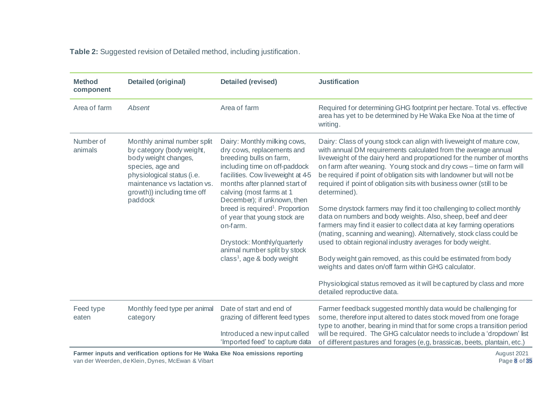**Table 2:** Suggested revision of Detailed method, including justification.

| <b>Method</b><br>component | <b>Detailed (original)</b>                                                                                                                                                                                   | <b>Detailed (revised)</b>                                                                                                                                                                                                                                                                                                                                                                                                                                     | <b>Justification</b>                                                                                                                                                                                                                                                                                                                                                                                                                                                                                                                                                                                                                                                                                                                                                                                                                                                                                                                                                                                                                              |
|----------------------------|--------------------------------------------------------------------------------------------------------------------------------------------------------------------------------------------------------------|---------------------------------------------------------------------------------------------------------------------------------------------------------------------------------------------------------------------------------------------------------------------------------------------------------------------------------------------------------------------------------------------------------------------------------------------------------------|---------------------------------------------------------------------------------------------------------------------------------------------------------------------------------------------------------------------------------------------------------------------------------------------------------------------------------------------------------------------------------------------------------------------------------------------------------------------------------------------------------------------------------------------------------------------------------------------------------------------------------------------------------------------------------------------------------------------------------------------------------------------------------------------------------------------------------------------------------------------------------------------------------------------------------------------------------------------------------------------------------------------------------------------------|
| Area of farm               | Absent                                                                                                                                                                                                       | Area of farm                                                                                                                                                                                                                                                                                                                                                                                                                                                  | Required for determining GHG footprint per hectare. Total vs. effective<br>area has yet to be determined by He Waka Eke Noa at the time of<br>writing.                                                                                                                                                                                                                                                                                                                                                                                                                                                                                                                                                                                                                                                                                                                                                                                                                                                                                            |
| Number of<br>animals       | Monthly animal number split<br>by category (body weight,<br>body weight changes,<br>species, age and<br>physiological status (i.e.<br>maintenance vs lactation vs.<br>growth)) including time off<br>paddock | Dairy: Monthly milking cows,<br>dry cows, replacements and<br>breeding bulls on farm,<br>including time on off-paddock<br>facilities. Cow liveweight at 4-5<br>months after planned start of<br>calving (most farms at 1<br>December); if unknown, then<br>breed is required <sup>1</sup> . Proportion<br>of year that young stock are<br>on-farm.<br>Drystock: Monthly/quarterly<br>animal number split by stock<br>class <sup>1</sup> , age $&$ body weight | Dairy: Class of young stock can align with liveweight of mature cow,<br>with annual DM requirements calculated from the average annual<br>liveweight of the dairy herd and proportioned for the number of months<br>on farm after weaning. Young stock and dry cows - time on farm will<br>be required if point of obligation sits with landowner but will not be<br>required if point of obligation sits with business owner (still to be<br>determined).<br>Some drystock farmers may find it too challenging to collect monthly<br>data on numbers and body weights. Also, sheep, beef and deer<br>farmers may find it easier to collect data at key farming operations<br>(mating, scanning and weaning). Alternatively, stock class could be<br>used to obtain regional industry averages for body weight.<br>Body weight gain removed, as this could be estimated from body<br>weights and dates on/off farm within GHG calculator.<br>Physiological status removed as it will be captured by class and more<br>detailed reproductive data. |
| Feed type<br>eaten         | Monthly feed type per animal<br>category                                                                                                                                                                     | Date of start and end of<br>grazing of different feed types<br>Introduced a new input called<br>'Imported feed' to capture data                                                                                                                                                                                                                                                                                                                               | Farmer feedback suggested monthly data would be challenging for<br>some, therefore input altered to dates stock moved from one forage<br>type to another, bearing in mind that for some crops a transition period<br>will be required. The GHG calculator needs to include a 'dropdown' list<br>of different pastures and forages (e,g, brassicas, beets, plantain, etc.)                                                                                                                                                                                                                                                                                                                                                                                                                                                                                                                                                                                                                                                                         |

**Farmer inputs and verification options for He Waka Eke Noa emissions reporting** van der Weerden, de Klein, Dynes, McEwan & Vibart

August 2021 Page **8** of **35**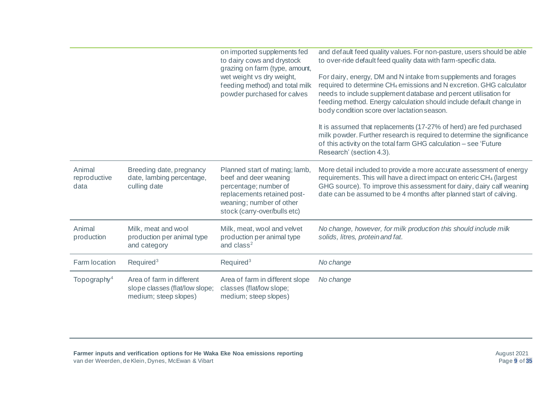|                                |                                                                                      | on imported supplements fed<br>to dairy cows and drystock<br>grazing on farm (type, amount,<br>wet weight vs dry weight,<br>feeding method) and total milk<br>powder purchased for calves | and default feed quality values. For non-pasture, users should be able<br>to over-ride default feed quality data with farm-specific data.<br>For dairy, energy, DM and N intake from supplements and forages<br>required to determine CH <sub>4</sub> emissions and N excretion. GHG calculator<br>needs to include supplement database and percent utilisation for<br>feeding method. Energy calculation should include default change in<br>body condition score over lactation season.<br>It is assumed that replacements (17-27% of herd) are fed purchased<br>milk powder. Further research is required to determine the significance<br>of this activity on the total farm GHG calculation - see 'Future<br>Research' (section 4.3). |
|--------------------------------|--------------------------------------------------------------------------------------|-------------------------------------------------------------------------------------------------------------------------------------------------------------------------------------------|--------------------------------------------------------------------------------------------------------------------------------------------------------------------------------------------------------------------------------------------------------------------------------------------------------------------------------------------------------------------------------------------------------------------------------------------------------------------------------------------------------------------------------------------------------------------------------------------------------------------------------------------------------------------------------------------------------------------------------------------|
| Animal<br>reproductive<br>data | Breeding date, pregnancy<br>date, lambing percentage,<br>culling date                | Planned start of mating; lamb,<br>beef and deer weaning<br>percentage; number of<br>replacements retained post-<br>weaning; number of other<br>stock (carry-over/bulls etc)               | More detail included to provide a more accurate assessment of energy<br>requirements. This will have a direct impact on enteric CH <sub>4</sub> (largest<br>GHG source). To improve this assessment for dairy, dairy calf weaning<br>date can be assumed to be 4 months after planned start of calving.                                                                                                                                                                                                                                                                                                                                                                                                                                    |
| Animal<br>production           | Milk, meat and wool<br>production per animal type<br>and category                    | Milk, meat, wool and velvet<br>production per animal type<br>and class <sup>2</sup>                                                                                                       | No change, however, for milk production this should include milk<br>solids, litres, protein and fat.                                                                                                                                                                                                                                                                                                                                                                                                                                                                                                                                                                                                                                       |
| Farm location                  | Required <sup>3</sup>                                                                | Required <sup>3</sup>                                                                                                                                                                     | No change                                                                                                                                                                                                                                                                                                                                                                                                                                                                                                                                                                                                                                                                                                                                  |
| Topography <sup>4</sup>        | Area of farm in different<br>slope classes (flat/low slope;<br>medium; steep slopes) | Area of farm in different slope<br>classes (flat/low slope;<br>medium; steep slopes)                                                                                                      | No change                                                                                                                                                                                                                                                                                                                                                                                                                                                                                                                                                                                                                                                                                                                                  |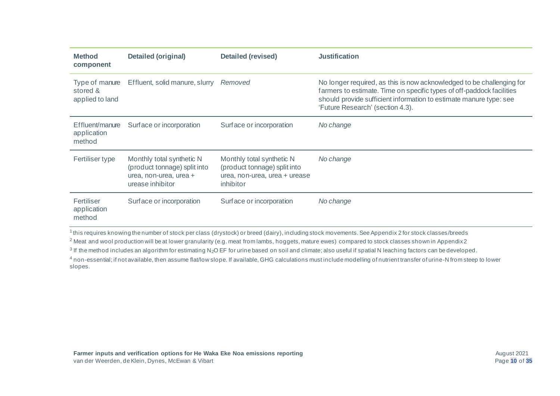| <b>Method</b><br>component                    | Detailed (original)                                                                                     | <b>Detailed (revised)</b>                                                                               | <b>Justification</b>                                                                                                                                                                                                                                     |
|-----------------------------------------------|---------------------------------------------------------------------------------------------------------|---------------------------------------------------------------------------------------------------------|----------------------------------------------------------------------------------------------------------------------------------------------------------------------------------------------------------------------------------------------------------|
| Type of manure<br>stored &<br>applied to land | Effluent, solid manure, slurry                                                                          | Removed                                                                                                 | No longer required, as this is now acknowledged to be challenging for<br>farmers to estimate. Time on specific types of off-paddock facilities<br>should provide sufficient information to estimate manure type: see<br>'Future Research' (section 4.3). |
| Effluent/manure<br>application<br>method      | Surface or incorporation                                                                                | Surface or incorporation                                                                                | No change                                                                                                                                                                                                                                                |
| Fertiliser type                               | Monthly total synthetic N<br>(product tonnage) split into<br>urea, non-urea, urea +<br>urease inhibitor | Monthly total synthetic N<br>(product tonnage) split into<br>urea, non-urea, urea + urease<br>inhibitor | No change                                                                                                                                                                                                                                                |
| Fertiliser<br>application<br>method           | Surface or incorporation                                                                                | Surface or incorporation                                                                                | No change                                                                                                                                                                                                                                                |

1 this requires knowing the number of stock per class (drystock) or breed (dairy), including stock movements. See Appendix 2 for stock classes/breeds

<sup>2</sup> Meat and wool production will be at lower granularity (e.g. meat from lambs, hoggets, mature ewes) compared to stock classes shown in Appendix 2

 $^3$  If the method includes an algorithm for estimating N<sub>2</sub>O EF for urine based on soil and climate; also useful if spatial N leaching factors can be developed.

4 non-essential; if not available, then assume flat/low slope. If available, GHG calculations must include modelling of nutrient transfer of urine-N from steep to lower slopes.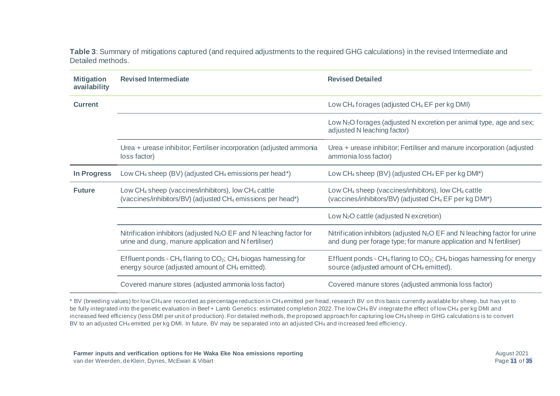**Table 3**: Summary of mitigations captured (and required adjustments to the required GHG calculations) in the revised Intermediate and Detailed methods.

| <b>Mitigation</b><br>availability | <b>Revised Intermediate</b>                                                                                                                                        | <b>Revised Detailed</b>                                                                                                                                            |
|-----------------------------------|--------------------------------------------------------------------------------------------------------------------------------------------------------------------|--------------------------------------------------------------------------------------------------------------------------------------------------------------------|
| <b>Current</b>                    |                                                                                                                                                                    | Low CH <sub>4</sub> forages (adjusted CH <sub>4</sub> EF per kg DMI)                                                                                               |
|                                   |                                                                                                                                                                    | Low N <sub>2</sub> O forages (adjusted N excretion per animal type, age and sex;<br>adjusted N leaching factor)                                                    |
|                                   | Urea + urease inhibitor; Fertiliser incorporation (adjusted ammonia<br>loss factor)                                                                                | Urea + urease inhibitor; Fertiliser and manure incorporation (adjusted<br>ammonia loss factor)                                                                     |
| <b>In Progress</b>                | Low $CH_4$ sheep (BV) (adjusted $CH_4$ emissions per head*)                                                                                                        | Low $CH_4$ sheep (BV) (adjusted $CH_4$ EF per kg DMI*)                                                                                                             |
| <b>Future</b>                     | Low CH <sub>4</sub> sheep (vaccines/inhibitors), low CH <sub>4</sub> cattle<br>(vaccines/inhibitors/BV) (adjusted CH <sub>4</sub> emissions per head*)             | Low CH <sub>4</sub> sheep (vaccines/inhibitors), low CH <sub>4</sub> cattle<br>(vaccines/inhibitors/BV) (adjusted CH <sub>4</sub> EF per kg DMI*)                  |
|                                   |                                                                                                                                                                    | Low $N_2O$ cattle (adjusted N excretion)                                                                                                                           |
|                                   | Nitrification inhibitors (adjusted N <sub>2</sub> O EF and N leaching factor for<br>urine and dung, manure application and N fertiliser)                           | Nitrification inhibitors (adjusted N <sub>2</sub> O EF and N leaching factor for urine<br>and dung per forage type; for manure application and N fertiliser)       |
|                                   | Effluent ponds - CH <sub>4</sub> flaring to CO <sub>2</sub> ; CH <sub>4</sub> biogas harnessing for<br>energy source (adjusted amount of CH <sub>4</sub> emitted). | Effluent ponds - CH <sub>4</sub> flaring to CO <sub>2</sub> ; CH <sub>4</sub> biogas harnessing for energy<br>source (adjusted amount of CH <sub>4</sub> emitted). |
|                                   | Covered manure stores (adjusted ammonia loss factor)                                                                                                               | Covered manure stores (adjusted ammonia loss factor)                                                                                                               |

\* BV (breeding values) for low CH<sup>4</sup> are recorded as percentage reduction in CH<sup>4</sup> emitted per head; research BV on this basis currently available for sheep, but has yet to be fully integrated into the genetic evaluation in Beef + Lamb Genetics: estimated completion 2022. The low CH<sub>4</sub> BV integrate the effect of low CH<sub>4</sub> per kg DMI and increased feed efficiency (less DMI per unit of production). For detailed methods, the proposed approach for capturing low CH<sup>4</sup> sheep in GHG calculations is to convert BV to an adjusted CH<sub>4</sub> emitted per kg DMI. In future, BV may be separated into an adjusted CH<sub>4</sub> and increased feed efficiency.

**Farmer inputs and verification options for He Waka Eke Noa emissions reporting** van der Weerden, de Klein, Dynes, McEwan & Vibart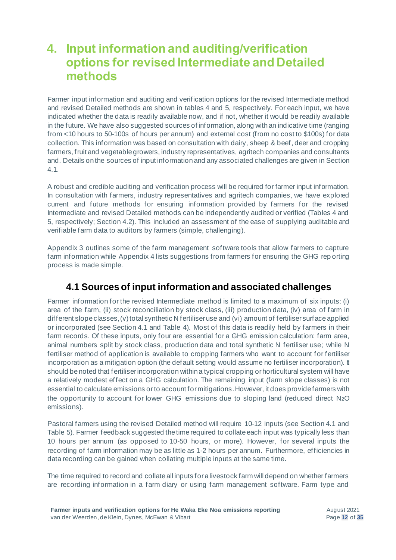### <span id="page-15-0"></span>**4. Input information and auditing/verification options for revised Intermediate and Detailed methods**

Farmer input information and auditing and verification options for the revised Intermediate method and revised Detailed methods are shown in tables 4 and 5, respectively. For each input, we have indicated whether the data is readily available now, and if not, whether it would be readily available in the future. We have also suggested sources of information, along with an indicative time (ranging from <10 hours to 50-100s of hours per annum) and external cost (from no cost to \$100s) for data collection. This information was based on consultation with dairy, sheep & beef, deer and cropping farmers, fruit and vegetable growers, industry representatives, agritech companies and consultants and. Details on the sources of input information and any associated challenges are given in Section 4.1.

A robust and credible auditing and verification process will be required for farmer input information. In consultation with farmers, industry representatives and agritech companies, we have explored current and future methods for ensuring information provided by farmers for the revised Intermediate and revised Detailed methods can be independently audited or verified (Tables 4 and 5, respectively; Section 4.2). This included an assessment of the ease of supplying auditable and verifiable farm data to auditors by farmers (simple, challenging).

Appendix 3 outlines some of the farm management software tools that allow farmers to capture farm information while Appendix 4 lists suggestions from farmers for ensuring the GHG rep orting process is made simple.

### <span id="page-15-1"></span>**4.1 Sources of input information and associated challenges**

Farmer information for the revised Intermediate method is limited to a maximum of six inputs: (i) area of the farm, (ii) stock reconciliation by stock class, (iii) production data, (iv) area of farm in different slope classes, (v) total synthetic N fertiliser use and (vi) amount of fertiliser surface applied or incorporated (see Section 4.1 and Table 4). Most of this data is readily held by farmers in their farm records. Of these inputs, only four are essential for a GHG emission calculation: farm area, animal numbers split by stock class, production data and total synthetic N fertiliser use; while N fertiliser method of application is available to cropping farmers who want to account for fertiliser incorporation as a mitigation option (the default setting would assume no fertiliser incorporation). It should be noted that fertiliser incorporation within a typical cropping or horticultural system will have a relatively modest effect on a GHG calculation. The remaining input (farm slope classes) is not essential to calculate emissions orto account for mitigations. However, it does provide farmers with the opportunity to account for lower GHG emissions due to sloping land (reduced direct N2O emissions).

Pastoral farmers using the revised Detailed method will require 10-12 inputs (see Section 4.1 and Table 5). Farmer feedback suggested the time required to collate each input was typically less than 10 hours per annum (as opposed to 10-50 hours, or more). However, for several inputs the recording of farm information may be as little as 1-2 hours per annum. Furthermore, efficiencies in data recording can be gained when collating multiple inputs at the same time.

The time required to record and collate all inputs for a livestock farm will depend on whether farmers are recording information in a farm diary or using farm management software. Farm type and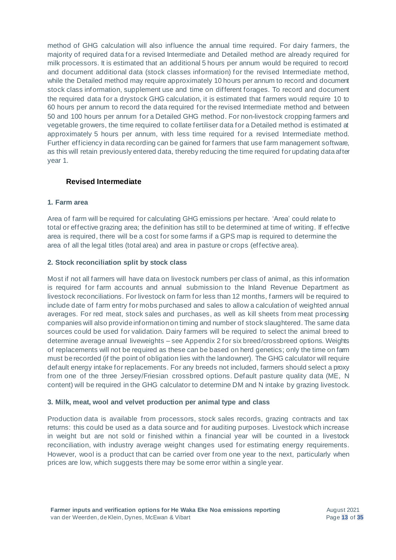method of GHG calculation will also influence the annual time required. For dairy farmers, the majority of required data for a revised Intermediate and Detailed method are already required for milk processors. It is estimated that an additional 5 hours per annum would be required to record and document additional data (stock classes information) for the revised Intermediate method, while the Detailed method may require approximately 10 hours per annum to record and document stock class information, supplement use and time on different forages. To record and document the required data for a drystock GHG calculation, it is estimated that farmers would require 10 to 60 hours per annum to record the data required for the revised Intermediate method and between 50 and 100 hours per annum for a Detailed GHG method. For non-livestock cropping farmers and vegetable growers, the time required to collate fertiliser data for a Detailed method is estimated at approximately 5 hours per annum, with less time required for a revised Intermediate method. Further efficiency in data recording can be gained for farmers that use farm management software, as this will retain previously entered data, thereby reducing the time required for updating data after year 1.

#### <span id="page-16-0"></span>**Revised Intermediate**

#### **1. Farm area**

Area of farm will be required for calculating GHG emissions per hectare. 'Area' could relate to total or effective grazing area; the definition has still to be determined at time of writing. If effective area is required, there will be a cost for some farms if a GPS map is required to determine the area of all the legal titles (total area) and area in pasture or crops (effective area).

#### **2. Stock reconciliation split by stock class**

Most if not all farmers will have data on livestock numbers per class of animal, as this information is required for farm accounts and annual submission to the Inland Revenue Department as livestock reconciliations. For livestock on farm for less than 12 months, f armers will be required to include date of farm entry for mobs purchased and sales to allow a calculation of weighted annual averages. For red meat, stock sales and purchases, as well as kill sheets from meat processing companies will also provide information on timing and number of stock slaughtered. The same data sources could be used for validation. Dairy farmers will be required to select the animal breed to determine average annual liveweights – see Appendix 2 for six breed/crossbreed options. Weights of replacements will not be required as these can be based on herd genetics; only the time on farm must be recorded (if the point of obligation lies with the landowner). The GHG calculator will require default energy intake for replacements. For any breeds not included, farmers should select a proxy from one of the three Jersey/Friesian crossbred options. Default pasture quality data (ME, N content) will be required in the GHG calculator to determine DM and N intake by grazing livestock.

#### **3. Milk, meat, wool and velvet production per animal type and class**

Production data is available from processors, stock sales records, grazing contracts and tax returns: this could be used as a data source and for auditing purposes. Livestock which increase in weight but are not sold or finished within a financial year will be counted in a livestock reconciliation, with industry average weight changes used for estimating energy requirements. However, wool is a product that can be carried over from one year to the next, particularly when prices are low, which suggests there may be some error within a single year.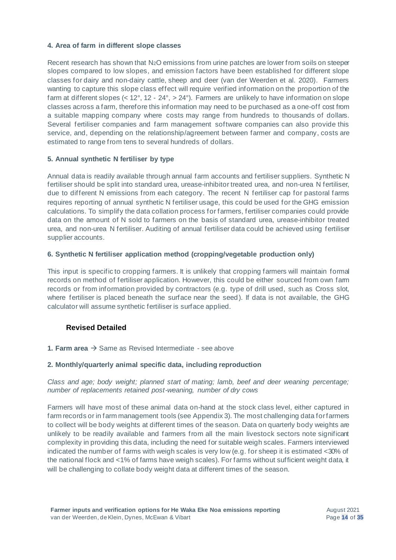#### **4. Area of farm in different slope classes**

Recent research has shown that N<sub>2</sub>O emissions from urine patches are lower from soils on steeper slopes compared to low slopes, and emission factors have been established for different slope classes for dairy and non-dairy cattle, sheep and deer (van der Weerden et al. 2020). Farmers wanting to capture this slope class effect will require verified information on the proportion of the farm at different slopes (< 12°, 12 - 24°, > 24°). Farmers are unlikely to have information on slope classes across a farm, therefore this information may need to be purchased as a one-off cost from a suitable mapping company where costs may range from hundreds to thousands of dollars. Several fertiliser companies and farm management software companies can also provide this service, and, depending on the relationship/agreement between farmer and company, costs are estimated to range from tens to several hundreds of dollars.

#### **5. Annual synthetic N fertiliser by type**

Annual data is readily available through annual farm accounts and fertiliser suppliers. Synthetic N fertiliser should be split into standard urea, urease-inhibitor treated urea, and non-urea N fertiliser, due to different N emissions from each category. The recent N fertiliser cap for pastoral farms requires reporting of annual synthetic N fertiliser usage, this could be used for the GHG emission calculations. To simplify the data collation process for farmers, fertiliser companies could provide data on the amount of N sold to farmers on the basis of standard urea, urease-inhibitor treated urea, and non-urea N fertiliser. Auditing of annual fertiliser data could be achieved using fertiliser supplier accounts.

#### **6. Synthetic N fertiliser application method (cropping/vegetable production only)**

This input is specific to cropping farmers. It is unlikely that cropping farmers will maintain formal records on method of fertiliser application. However, this could be either sourced from own farm records or from information provided by contractors (e.g. type of drill used, such as Cross slot, where fertiliser is placed beneath the surface near the seed). If data is not available, the GHG calculator will assume synthetic fertiliser is surface applied.

#### <span id="page-17-0"></span>**Revised Detailed**

**1. Farm area** → Same as Revised Intermediate - see above

#### **2. Monthly/quarterly animal specific data, including reproduction**

*Class and age; body weight; planned start of mating; lamb, beef and deer weaning percentage; number of replacements retained post-weaning, number of dry cows*

Farmers will have most of these animal data on-hand at the stock class level, either captured in farm records or in farm management tools (see Appendix 3). The most challenging data for farmers to collect will be body weights at different times of the season. Data on quarterly body weights are unlikely to be readily available and farmers from all the main livestock sectors note significant complexity in providing this data, including the need for suitable weigh scales. Farmers interviewed indicated the number of farms with weigh scales is very low (e.g. for sheep it is estimated <30% of the national flock and <1% of farms have weigh scales). For farms without sufficient weight data, it will be challenging to collate body weight data at different times of the season.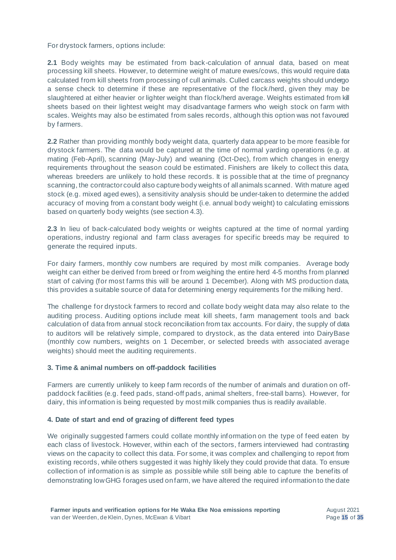For drystock farmers, options include:

**2.1** Body weights may be estimated from back-calculation of annual data, based on meat processing kill sheets. However, to determine weight of mature ewes/cows, this would require data calculated from kill sheets from processing of cull animals. Culled carcass weights should undergo a sense check to determine if these are representative of the flock /herd, given they may be slaughtered at either heavier or lighter weight than flock/herd average. Weights estimated from kill sheets based on their lightest weight may disadvantage farmers who weigh stock on farm with scales. Weights may also be estimated from sales records, although this option was not favoured by farmers.

**2.2** Rather than providing monthly body weight data, quarterly data appear to be more feasible for drystock farmers. The data would be captured at the time of normal yarding operations (e.g. at mating (Feb-April), scanning (May-July) and weaning (Oct-Dec), from which changes in energy requirements throughout the season could be estimated. Finishers are likely to collect this data, whereas breeders are unlikely to hold these records. It is possible that at the time of pregnancy scanning, the contractor could also capture body weights of all animals scanned. With mature aged stock (e.g. mixed aged ewes), a sensitivity analysis should be under-taken to determine the added accuracy of moving from a constant body weight (i.e. annual body weight) to calculating emissions based on quarterly body weights (see section 4.3).

**2.3** In lieu of back-calculated body weights or weights captured at the time of normal yarding operations, industry regional and farm class averages for specific breeds may be required to generate the required inputs.

For dairy farmers, monthly cow numbers are required by most milk companies. Average body weight can either be derived from breed or from weighing the entire herd 4-5 months from planned start of calving (for most farms this will be around 1 December). Along with MS production data, this provides a suitable source of data for determining energy requirements for the milking herd.

The challenge for drystock farmers to record and collate body weight data may also relate to the auditing process. Auditing options include meat kill sheets, farm management tools and back calculation of data from annual stock reconciliation from tax accounts. For dairy, the supply of data to auditors will be relatively simple, compared to drystock, as the data entered into DairyBase (monthly cow numbers, weights on 1 December, or selected breeds with associated average weights) should meet the auditing requirements.

#### **3. Time & animal numbers on off-paddock facilities**

Farmers are currently unlikely to keep farm records of the number of animals and duration on offpaddock facilities (e.g. feed pads, stand-off pads, animal shelters, free-stall barns). However, for dairy, this information is being requested by most milk companies thus is readily available.

#### **4. Date of start and end of grazing of different feed types**

We originally suggested farmers could collate monthly information on the type of feed eaten by each class of livestock. However, within each of the sectors, farmers interviewed had contrasting views on the capacity to collect this data. For some, it was complex and challenging to report from existing records, while others suggested it was highly likely they could provide that data. To ensure collection of information is as simple as possible while still being able to capture the benefits of demonstrating low GHG forages used on farm, we have altered the required information to the date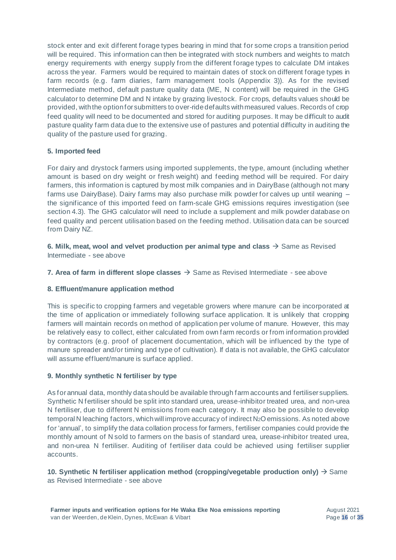stock enter and exit different forage types bearing in mind that for some crops a transition period will be required. This information can then be integrated with stock numbers and weights to match energy requirements with energy supply from the different forage types to calculate DM intakes across the year. Farmers would be required to maintain dates of stock on different forage types in farm records (e.g. farm diaries, farm management tools (Appendix 3)). As for the revised Intermediate method, default pasture quality data (ME, N content) will be required in the GHG calculator to determine DM and N intake by grazing livestock. For crops, defaults values should be provided, with the option for submitters to over-ride defaults with measured values. Records of crop feed quality will need to be documented and stored for auditing purposes. It may be difficult to audit pasture quality farm data due to the extensive use of pastures and potential difficulty in auditing the quality of the pasture used for grazing.

#### **5. Imported feed**

For dairy and drystock farmers using imported supplements, the type, amount (including whether amount is based on dry weight or fresh weight) and feeding method will be required. For dairy farmers, this information is captured by most milk companies and in DairyBase (although not many farms use DairyBase). Dairy farms may also purchase milk powder for calves up until weaning – the significance of this imported feed on farm-scale GHG emissions requires investigation (see section 4.3). The GHG calculator will need to include a supplement and milk powder database on feed quality and percent utilisation based on the feeding method. Utilisation data can be sourced from Dairy NZ.

**6. Milk, meat, wool and velvet production per animal type and class**  $\rightarrow$  Same as Revised Intermediate - see above

**7. Area of farm in different slope classes**  $\rightarrow$  **Same as Revised Intermediate - see above** 

#### **8. Effluent/manure application method**

This is specific to cropping farmers and vegetable growers where manure can be incorporated at the time of application or immediately following surface application. It is unlikely that cropping farmers will maintain records on method of application per volume of manure. However, this may be relatively easy to collect, either calculated from own farm records or from information provided by contractors (e.g. proof of placement documentation, which will be influenced by the type of manure spreader and/or timing and type of cultivation). If data is not available, the GHG calculator will assume effluent/manure is surface applied.

#### **9. Monthly synthetic N fertiliser by type**

As for annual data, monthly data should be available through farm accounts and fertiliser suppliers. Synthetic N fertiliser should be split into standard urea, urease-inhibitor treated urea, and non-urea N fertiliser, due to different N emissions from each category. It may also be possible to develop temporal N leaching factors, which will improve accuracy of indirect N2O emissions. As noted above for 'annual', to simplify the data collation process for farmers, fertiliser companies could provide the monthly amount of N sold to farmers on the basis of standard urea, urease-inhibitor treated urea, and non-urea N fertiliser. Auditing of fertiliser data could be achieved using fertiliser supplier accounts.

#### **10. Synthetic N fertiliser application method (cropping/vegetable production only)** → Same as Revised Intermediate - see above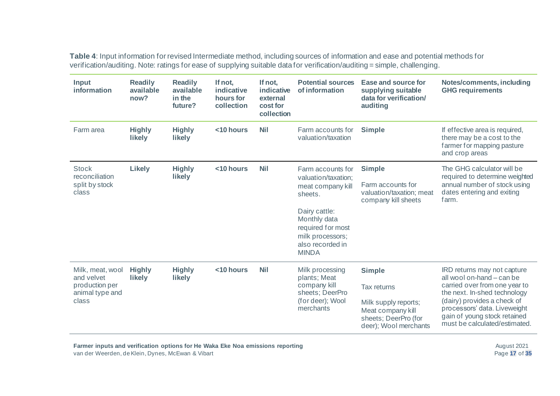**Table 4**: Input information for revised Intermediate method, including sources of information and ease and potential methods for verification/auditing. Note: ratings for ease of supplying suitable data for verification/auditing = simple, challenging.

| <b>Input</b><br>information                                                  | <b>Readily</b><br>available<br>now? | <b>Readily</b><br>available<br>in the<br>future? | If not,<br>indicative<br>hours for<br>collection | If not,<br>indicative<br>external<br>cost for<br>collection | <b>Potential sources</b><br>of information                                                                                                                                             | Ease and source for<br>supplying suitable<br>data for verification/<br>auditing                                                   | Notes/comments, including<br><b>GHG requirements</b>                                                                                                                                                                                                      |
|------------------------------------------------------------------------------|-------------------------------------|--------------------------------------------------|--------------------------------------------------|-------------------------------------------------------------|----------------------------------------------------------------------------------------------------------------------------------------------------------------------------------------|-----------------------------------------------------------------------------------------------------------------------------------|-----------------------------------------------------------------------------------------------------------------------------------------------------------------------------------------------------------------------------------------------------------|
| Farm area                                                                    | <b>Highly</b><br><b>likely</b>      | <b>Highly</b><br>likely                          | <10 hours                                        | <b>Nil</b>                                                  | Farm accounts for<br>valuation/taxation                                                                                                                                                | <b>Simple</b>                                                                                                                     | If effective area is required,<br>there may be a cost to the<br>farmer for mapping pasture<br>and crop areas                                                                                                                                              |
| <b>Stock</b><br>reconciliation<br>split by stock<br>class                    | <b>Likely</b>                       | <b>Highly</b><br>likely                          | <10 hours                                        | <b>Nil</b>                                                  | Farm accounts for<br>valuation/taxation;<br>meat company kill<br>sheets.<br>Dairy cattle:<br>Monthly data<br>required for most<br>milk processors;<br>also recorded in<br><b>MINDA</b> | <b>Simple</b><br>Farm accounts for<br>valuation/taxation; meat<br>company kill sheets                                             | The GHG calculator will be<br>required to determine weighted<br>annual number of stock using<br>dates entering and exiting<br>farm.                                                                                                                       |
| Milk, meat, wool<br>and velvet<br>production per<br>animal type and<br>class | <b>Highly</b><br>likely             | <b>Highly</b><br><b>likely</b>                   | <10 hours                                        | <b>Nil</b>                                                  | Milk processing<br>plants; Meat<br>company kill<br>sheets; DeerPro<br>(for deer); Wool<br>merchants                                                                                    | <b>Simple</b><br><b>Tax returns</b><br>Milk supply reports;<br>Meat company kill<br>sheets; DeerPro (for<br>deer); Wool merchants | IRD returns may not capture<br>all wool on-hand - can be<br>carried over from one year to<br>the next. In-shed technology<br>(dairy) provides a check of<br>processors' data. Liveweight<br>gain of young stock retained<br>must be calculated/estimated. |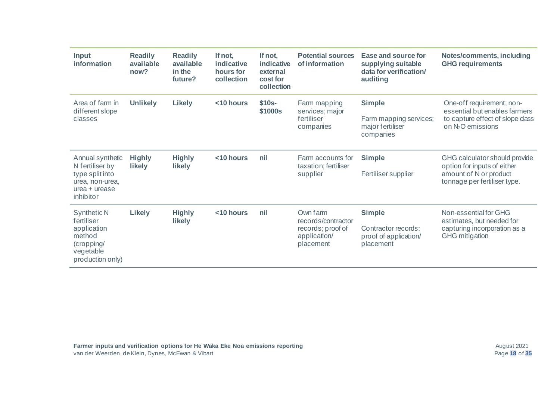| Input<br>information                                                                                      | <b>Readily</b><br>available<br>now? | <b>Readily</b><br>available<br>in the<br>future? | If not,<br>indicative<br>hours for<br>collection | If not,<br>indicative<br>external<br>cost for<br>collection | <b>Potential sources</b><br>of information                                       | Ease and source for<br>supplying suitable<br>data for verification/<br>auditing | Notes/comments, including<br><b>GHG requirements</b>                                                                            |
|-----------------------------------------------------------------------------------------------------------|-------------------------------------|--------------------------------------------------|--------------------------------------------------|-------------------------------------------------------------|----------------------------------------------------------------------------------|---------------------------------------------------------------------------------|---------------------------------------------------------------------------------------------------------------------------------|
| Area of farm in<br>different slope<br>classes                                                             | <b>Unlikely</b>                     | <b>Likely</b>                                    | <10 hours                                        | $$10s-$<br>\$1000s                                          | Farm mapping<br>services; major<br>fertiliser<br>companies                       | <b>Simple</b><br>Farm mapping services;<br>major fertiliser<br>companies        | One-off requirement; non-<br>essential but enables farmers<br>to capture effect of slope class<br>on N <sub>2</sub> O emissions |
| Annual synthetic<br>N fertiliser by<br>type split into<br>urea, non-urea,<br>$urea + urease$<br>inhibitor | <b>Highly</b><br><b>likely</b>      | <b>Highly</b><br><b>likely</b>                   | <10 hours                                        | nil                                                         | Farm accounts for<br>taxation; fertiliser<br>supplier                            | <b>Simple</b><br>Fertiliser supplier                                            | GHG calculator should provide<br>option for inputs of either<br>amount of N or product<br>tonnage per fertiliser type.          |
| Synthetic N<br>fertiliser<br>application<br>method<br>(cropping/<br>vegetable<br>production only)         | <b>Likely</b>                       | <b>Highly</b><br><b>likely</b>                   | <10 hours                                        | nil                                                         | Own farm<br>records/contractor<br>records; proof of<br>application/<br>placement | <b>Simple</b><br>Contractor records;<br>proof of application/<br>placement      | Non-essential for GHG<br>estimates, but needed for<br>capturing incorporation as a<br><b>GHG</b> mitigation                     |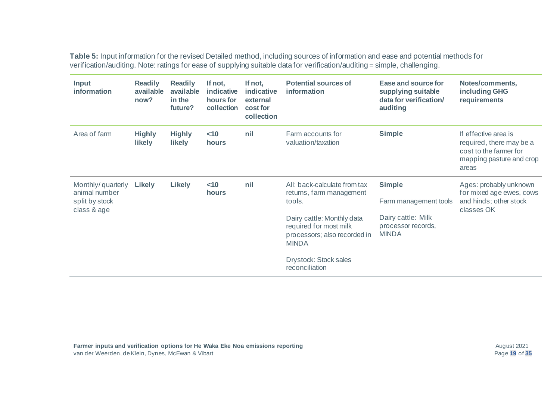**Table 5:** Input information for the revised Detailed method, including sources of information and ease and potential methods for verification/auditing. Note: ratings for ease of supplying suitable data for verification/auditing = simple, challenging.

| <b>Input</b><br>information                                         | <b>Readily</b><br>available<br>now? | <b>Readily</b><br>available<br>in the<br>future? | If not,<br>indicative<br>hours for<br>collection | If not,<br>indicative<br>external<br>cost for<br>collection | <b>Potential sources of</b><br>information                                                           | Ease and source for<br>supplying suitable<br>data for verification/<br>auditing | Notes/comments,<br>including GHG<br>requirements                                                                |
|---------------------------------------------------------------------|-------------------------------------|--------------------------------------------------|--------------------------------------------------|-------------------------------------------------------------|------------------------------------------------------------------------------------------------------|---------------------------------------------------------------------------------|-----------------------------------------------------------------------------------------------------------------|
| Area of farm                                                        | <b>Highly</b><br><b>likely</b>      | <b>Highly</b><br><b>likely</b>                   | $<$ 10<br>hours                                  | nil                                                         | Farm accounts for<br>valuation/taxation                                                              | <b>Simple</b>                                                                   | If effective area is<br>required, there may be a<br>cost to the farmer for<br>mapping pasture and crop<br>areas |
| Monthly/guarterly<br>animal number<br>split by stock<br>class & age | Likely                              | <b>Likely</b>                                    | $<$ 10<br>hours                                  | nil                                                         | All: back-calculate from tax<br>returns, farm management<br>tools.                                   | <b>Simple</b><br>Farm management tools                                          | Ages: probably unknown<br>for mixed age ewes, cows<br>and hinds; other stock<br>classes OK                      |
|                                                                     |                                     |                                                  |                                                  |                                                             | Dairy cattle: Monthly data<br>required for most milk<br>processors; also recorded in<br><b>MINDA</b> | Dairy cattle: Milk<br>processor records,<br><b>MINDA</b>                        |                                                                                                                 |
|                                                                     |                                     |                                                  |                                                  |                                                             | Drystock: Stock sales<br>reconciliation                                                              |                                                                                 |                                                                                                                 |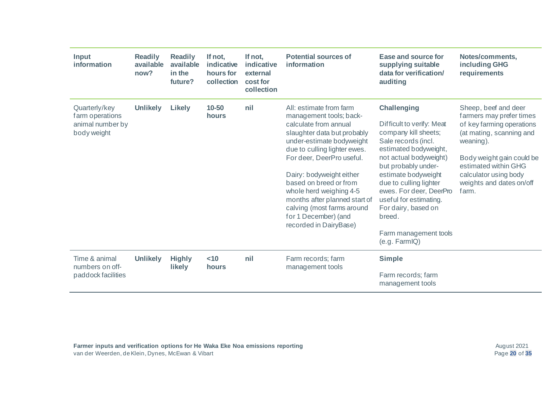| Input<br>information                                                | <b>Readily</b><br>available<br>now? | <b>Readily</b><br>available<br>in the<br>future? | If not,<br><b>indicative</b><br>hours for<br>collection | If not,<br>indicative<br>external<br>cost for<br>collection | <b>Potential sources of</b><br><b>information</b>                                                                                                                                                                                                                                                                                                                                                      | Ease and source for<br>supplying suitable<br>data for verification/<br>auditing                                                                                                                                                                                                                                                                           | Notes/comments,<br>including GHG<br>requirements                                                                                                                                                                                          |
|---------------------------------------------------------------------|-------------------------------------|--------------------------------------------------|---------------------------------------------------------|-------------------------------------------------------------|--------------------------------------------------------------------------------------------------------------------------------------------------------------------------------------------------------------------------------------------------------------------------------------------------------------------------------------------------------------------------------------------------------|-----------------------------------------------------------------------------------------------------------------------------------------------------------------------------------------------------------------------------------------------------------------------------------------------------------------------------------------------------------|-------------------------------------------------------------------------------------------------------------------------------------------------------------------------------------------------------------------------------------------|
| Quarterly/key<br>farm operations<br>animal number by<br>body weight | <b>Unlikely</b>                     | <b>Likely</b>                                    | 10-50<br>hours                                          | nil                                                         | All: estimate from farm<br>management tools; back-<br>calculate from annual<br>slaughter data but probably<br>under-estimate bodyweight<br>due to culling lighter ewes.<br>For deer, DeerPro useful.<br>Dairy: bodyweight either<br>based on breed or from<br>whole herd weighing 4-5<br>months after planned start of<br>calving (most farms around<br>for 1 December) (and<br>recorded in DairyBase) | <b>Challenging</b><br>Difficult to verify: Meat<br>company kill sheets;<br>Sale records (incl.<br>estimated bodyweight,<br>not actual bodyweight)<br>but probably under-<br>estimate bodyweight<br>due to culling lighter<br>ewes. For deer, DeerPro<br>useful for estimating.<br>For dairy, based on<br>breed.<br>Farm management tools<br>(e.g. FarmIQ) | Sheep, beef and deer<br>farmers may prefer times<br>of key farming operations<br>(at mating, scanning and<br>weaning).<br>Body weight gain could be<br>estimated within GHG<br>calculator using body<br>weights and dates on/off<br>farm. |
| Time & animal<br>numbers on off-<br>paddock facilities              | <b>Unlikely</b>                     | <b>Highly</b><br>likely                          | $<$ 10<br>hours                                         | nil                                                         | Farm records; farm<br>management tools                                                                                                                                                                                                                                                                                                                                                                 | <b>Simple</b><br>Farm records; farm<br>management tools                                                                                                                                                                                                                                                                                                   |                                                                                                                                                                                                                                           |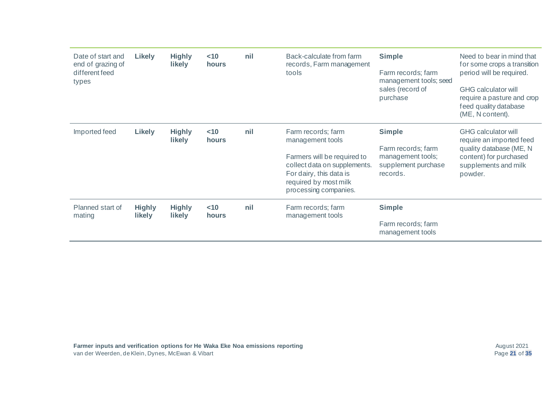| Date of start and<br>end of grazing of<br>different feed<br>types | Likely                         | <b>Highly</b><br><b>likely</b> | ~10<br>hours | nil | Back-calculate from farm<br>records, Farm management<br>tools                                                                                                                      | <b>Simple</b><br>Farm records; farm<br>management tools; seed<br>sales (record of<br>purchase | Need to bear in mind that<br>for some crops a transition<br>period will be required.<br><b>GHG calculator will</b><br>require a pasture and crop<br>feed quality database<br>(ME, N content). |
|-------------------------------------------------------------------|--------------------------------|--------------------------------|--------------|-----|------------------------------------------------------------------------------------------------------------------------------------------------------------------------------------|-----------------------------------------------------------------------------------------------|-----------------------------------------------------------------------------------------------------------------------------------------------------------------------------------------------|
| Imported feed                                                     | Likely                         | <b>Highly</b><br><b>likely</b> | ~10<br>hours | nil | Farm records; farm<br>management tools<br>Farmers will be required to<br>collect data on supplements.<br>For dairy, this data is<br>required by most milk<br>processing companies. | <b>Simple</b><br>Farm records; farm<br>management tools;<br>supplement purchase<br>records.   | <b>GHG calculator will</b><br>require an imported feed<br>quality database (ME, N<br>content) for purchased<br>supplements and milk<br>powder.                                                |
| Planned start of<br>mating                                        | <b>Highly</b><br><b>likely</b> | <b>Highly</b><br><b>likely</b> | ~10<br>hours | nil | Farm records; farm<br>management tools                                                                                                                                             | <b>Simple</b><br>Farm records; farm<br>management tools                                       |                                                                                                                                                                                               |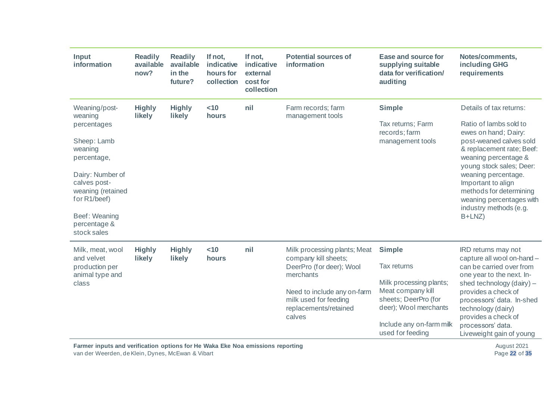| Input<br>information                                                  | <b>Readily</b><br>available<br>now?                                                           | <b>Readily</b><br>available<br>in the<br>future? | If not,<br>indicative<br>hours for<br>collection | If not,<br>indicative<br>external<br>cost for<br>collection | <b>Potential sources of</b><br>information               | <b>Ease and source for</b><br>supplying suitable<br>data for verification/<br>auditing | Notes/comments,<br>including GHG<br>requirements                                                         |
|-----------------------------------------------------------------------|-----------------------------------------------------------------------------------------------|--------------------------------------------------|--------------------------------------------------|-------------------------------------------------------------|----------------------------------------------------------|----------------------------------------------------------------------------------------|----------------------------------------------------------------------------------------------------------|
| Weaning/post-<br>weaning                                              | <b>Highly</b><br>likely                                                                       | <b>Highly</b><br>likely                          | $<$ 10<br>hours                                  | nil                                                         | Farm records; farm<br>management tools                   | <b>Simple</b>                                                                          | Details of tax returns:                                                                                  |
| percentages                                                           |                                                                                               |                                                  |                                                  |                                                             |                                                          | Tax returns; Farm<br>records; farm                                                     | Ratio of lambs sold to<br>ewes on hand; Dairy:                                                           |
| Sheep: Lamb<br>weaning<br>percentage,                                 |                                                                                               |                                                  |                                                  |                                                             |                                                          | management tools                                                                       | post-weaned calves sold<br>& replacement rate; Beef:<br>weaning percentage &<br>young stock sales; Deer: |
| Dairy: Number of<br>calves post-<br>weaning (retained<br>for R1/beef) |                                                                                               |                                                  |                                                  |                                                             |                                                          |                                                                                        | weaning percentage.<br>Important to align<br>methods for determining<br>weaning percentages with         |
| Beef: Weaning<br>percentage &<br>stock sales                          |                                                                                               |                                                  |                                                  |                                                             |                                                          |                                                                                        | industry methods (e.g.<br>$B+LNZ$                                                                        |
| Milk, meat, wool<br>and velvet                                        | <b>Highly</b><br>likely                                                                       | <b>Highly</b><br>likely                          | < 10<br>hours                                    | nil                                                         | Milk processing plants; Meat<br>company kill sheets;     | <b>Simple</b>                                                                          | IRD returns may not<br>capture all wool on-hand -                                                        |
| production per<br>animal type and                                     |                                                                                               |                                                  |                                                  |                                                             | DeerPro (for deer); Wool<br>merchants                    | Tax returns                                                                            | can be carried over from<br>one year to the next. In-                                                    |
| class                                                                 |                                                                                               |                                                  |                                                  |                                                             |                                                          | Milk processing plants;                                                                | shed technology (dairy) -                                                                                |
|                                                                       |                                                                                               |                                                  |                                                  |                                                             | Need to include any on-farm                              | Meat company kill                                                                      | provides a check of                                                                                      |
|                                                                       |                                                                                               |                                                  |                                                  |                                                             | milk used for feeding<br>replacements/retained<br>calves | sheets; DeerPro (for<br>deer); Wool merchants                                          | processors' data. In-shed<br>technology (dairy)<br>provides a check of                                   |
|                                                                       |                                                                                               |                                                  |                                                  |                                                             |                                                          | Include any on-farm milk                                                               | processors' data.                                                                                        |
|                                                                       |                                                                                               |                                                  |                                                  |                                                             |                                                          | used for feeding                                                                       | Liveweight gain of young                                                                                 |
|                                                                       | Farmer inputs and verification options for He Waka Eke Noa emissions reporting<br>August 2021 |                                                  |                                                  |                                                             |                                                          |                                                                                        |                                                                                                          |

van der Weerden, de Klein, Dynes, McEwan & Vibart

August 2021 Page **22** of **35**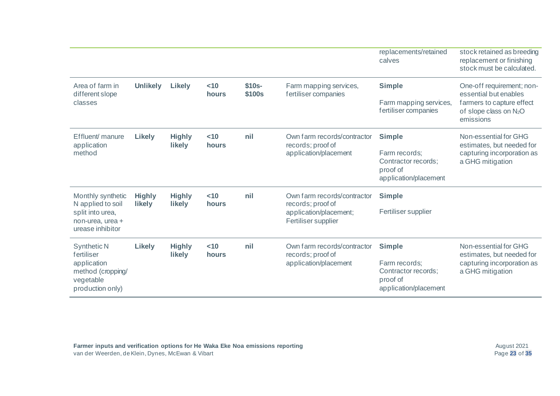|                                                                                                       |                                               |                                |                        |                   |                                                                           | replacements/retained<br>calves                                           | stock retained as breeding<br>replacement or finishing<br>stock must be calculated.                                   |
|-------------------------------------------------------------------------------------------------------|-----------------------------------------------|--------------------------------|------------------------|-------------------|---------------------------------------------------------------------------|---------------------------------------------------------------------------|-----------------------------------------------------------------------------------------------------------------------|
| Area of farm in<br>different slope<br>classes                                                         | <b>Unlikely</b>                               | Likely                         | $<$ 10<br><b>hours</b> | $$10s-$<br>\$100s | Farm mapping services,<br>fertiliser companies                            | <b>Simple</b><br>Farm mapping services,<br>fertiliser companies           | One-off requirement; non-<br>essential but enables<br>farmers to capture effect<br>of slope class on N <sub>2</sub> O |
|                                                                                                       |                                               |                                |                        |                   |                                                                           |                                                                           | emissions                                                                                                             |
| Effluent/ manure<br>application<br>method                                                             | <b>Likely</b>                                 | <b>Highly</b><br><b>likely</b> | $<$ 10<br>hours        | nil               | Own farm records/contractor<br>records; proof of<br>application/placement | <b>Simple</b>                                                             | Non-essential for GHG<br>estimates, but needed for                                                                    |
|                                                                                                       |                                               |                                |                        |                   |                                                                           | Farm records;<br>Contractor records;<br>proof of<br>application/placement | capturing incorporation as<br>a GHG mitigation                                                                        |
| Monthly synthetic<br>N applied to soil                                                                | <b>Highly</b><br>likely                       | <b>Highly</b><br><b>likely</b> | $<$ 10<br><b>hours</b> | nil               | Own farm records/contractor<br>records; proof of                          | <b>Simple</b>                                                             |                                                                                                                       |
| split into urea,<br>non-urea, urea +<br>urease inhibitor                                              | application/placement;<br>Fertiliser supplier | Fertiliser supplier            |                        |                   |                                                                           |                                                                           |                                                                                                                       |
| <b>Synthetic N</b><br>fertiliser<br>application<br>method (cropping/<br>vegetable<br>production only) | Likely                                        | <b>Highly</b><br><b>likely</b> | $<$ 10<br><b>hours</b> | nil               | Own farm records/contractor<br>records; proof of<br>application/placement | <b>Simple</b>                                                             | Non-essential for GHG<br>estimates, but needed for                                                                    |
|                                                                                                       |                                               |                                |                        |                   |                                                                           | Farm records;<br>Contractor records;<br>proof of<br>application/placement | capturing incorporation as<br>a GHG mitigation                                                                        |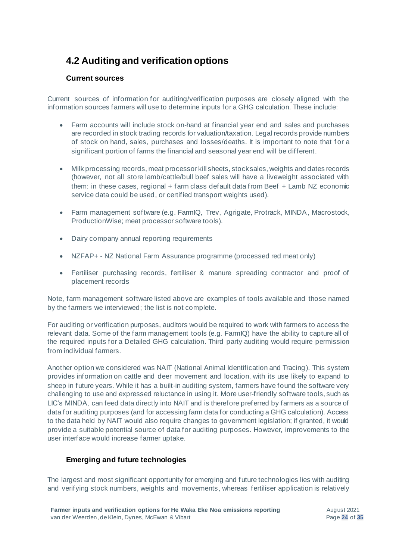### <span id="page-27-0"></span>**4.2 Auditing and verification options**

#### <span id="page-27-1"></span>**Current sources**

Current sources of information for auditing/verification purposes are closely aligned with the information sources farmers will use to determine inputs for a GHG calculation. These include:

- Farm accounts will include stock on-hand at financial year end and sales and purchases are recorded in stock trading records for valuation/taxation. Legal records provide numbers of stock on hand, sales, purchases and losses/deaths. It is important to note that for a significant portion of farms the financial and seasonal year end will be different.
- Milk processing records, meat processor kill sheets, stock sales, weights and dates records (however, not all store lamb/cattle/bull beef sales will have a liveweight associated with them: in these cases, regional + farm class default data from Beef + Lamb NZ economic service data could be used, or certified transport weights used).
- Farm management software (e.g. FarmIQ, Trev, Agrigate, Protrack, MINDA, Macrostock, ProductionWise; meat processor software tools).
- Dairy company annual reporting requirements
- NZFAP+ NZ National Farm Assurance programme (processed red meat only)
- Fertiliser purchasing records, fertiliser & manure spreading contractor and proof of placement records

Note, farm management software listed above are examples of tools available and those named by the farmers we interviewed; the list is not complete.

For auditing or verification purposes, auditors would be required to work with farmers to access the relevant data. Some of the farm management tools (e.g. FarmIQ) have the ability to capture all of the required inputs for a Detailed GHG calculation. Third party auditing would require permission from individual farmers.

Another option we considered was NAIT (National Animal Identification and Tracing). This system provides information on cattle and deer movement and location, with its use likely to expand to sheep in future years. While it has a built-in auditing system, farmers have found the software very challenging to use and expressed reluctance in using it. More user-friendly software tools, such as LIC's MINDA, can feed data directly into NAIT and is therefore preferred by farmers as a source of data for auditing purposes (and for accessing farm data for conducting a GHG calculation). Access to the data held by NAIT would also require changes to government legislation; if granted, it would provide a suitable potential source of data for auditing purposes. However, improvements to the user interface would increase farmer uptake.

#### <span id="page-27-2"></span>**Emerging and future technologies**

The largest and most significant opportunity for emerging and future technologies lies with auditing and verifying stock numbers, weights and movements, whereas fertiliser application is relatively

August 2021 Page **24** of **35**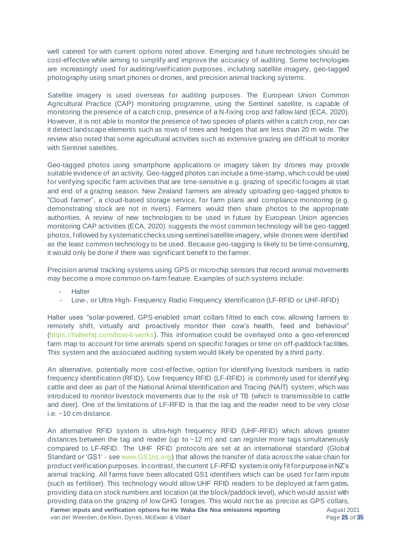well catered for with current options noted above. Emerging and future technologies should be cost-effective while aiming to simplify and improve the accuracy of auditing. Some technologies are increasingly used for auditing/verification purposes, including satellite imagery, geo-tagged photography using smart phones or drones, and precision animal tracking systems.

Satellite imagery is used overseas for auditing purposes. The European Union Common Agricultural Practice (CAP) monitoring programme, using the Sentinel satellite, is capable of monitoring the presence of a catch crop, presence of a N-fixing crop and fallow land (ECA, 2020). However, it is not able to monitor the presence of two species of plants within a catch crop, nor can it detect landscape elements such as rows of trees and hedges that are less than 20 m wide. The review also noted that some agricultural activities such as extensive grazing are difficult to monitor with Sentinel satellites.

Geo-tagged photos using smartphone applications or imagery taken by drones may provide suitable evidence of an activity. Geo-tagged photos can include a time-stamp, which could be used for verifying specific farm activities that are time-sensitive e.g. grazing of specific forages at start and end of a grazing season. New Zealand farmers are already uploading geo -tagged photos to "Cloud farmer", a cloud-based storage service, for farm plans and compliance monitoring (e.g. demonstrating stock are not in rivers). Farmers would then share photos to the appropriate authorities. A review of new technologies to be used in future by European Union agencies monitoring CAP activities (ECA, 2020) suggests the most common technology will be geo-tagged photos, followed by systematic checks using sentinel satellite imagery, while drones were identified as the least common technology to be used. Because geo-tagging is likely to be time-consuming, it would only be done if there was significant benefit to the farmer.

Precision animal tracking systems using GPS or microchip sensors that record animal movements may become a more common on-farm feature. Examples of such systems include:

**Halter** 

Low-, or Ultra High- Frequency Radio Frequency Identification (LF-RFID or UHF-RFID)

Halter uses "solar-powered, GPS-enabled smart collars fitted to each cow, allowing farmers to remotely shift, virtually and proactively monitor their cow's health, feed and behaviour" [\(https://halterhq.com/how-it-works](https://halterhq.com/how-it-works)). This information could be overlayed onto a geo-referenced farm map to account for time animals spend on specific forages or time on off-paddock facilities. This system and the associated auditing system would likely be operated by a third party.

An alternative, potentially more cost-effective, option for identifying livestock numbers is radio frequency identification (RFID). Low frequency RFID (LF-RFID) is commonly used for identifying cattle and deer as part of the National Animal Identification and Tracing (NAIT) system, which was introduced to monitor livestock movements due to the risk of TB (which is transmissible to cattle and deer). One of the limitations of LF-RFID is that the tag and the reader need to be very close i.e. ~10 cm distance.

**Farmer inputs and verification options for He Waka Eke Noa emissions reporting** An alternative RFID system is ultra-high frequency RFID (UHF-RFID) which allows greater distances between the tag and reader (up to  $\sim$  12 m) and can register more tags simultaneously compared to LF-RFID. The UHF RFID protocols are set at an international standard (Global Standard or 'GS1' - se[e www.GS1nz.org\)](http://www.gs1nz.org/) that allows the transfer of data across the value chain for product verification purposes. In contrast, the current LF-RFID system is only fit for purpose in NZ's animal tracking. All farms have been allocated GS1 identifiers which can be used for farm inputs (such as fertiliser). This technology would allow UHF RFID readers to be deployed at farm gates, providing data on stock numbers and location (at the block/paddock level), which would assist with providing data on the grazing of low GHG forages. This would not be as precise as GPS collars,

van der Weerden, de Klein, Dynes, McEwan & Vibart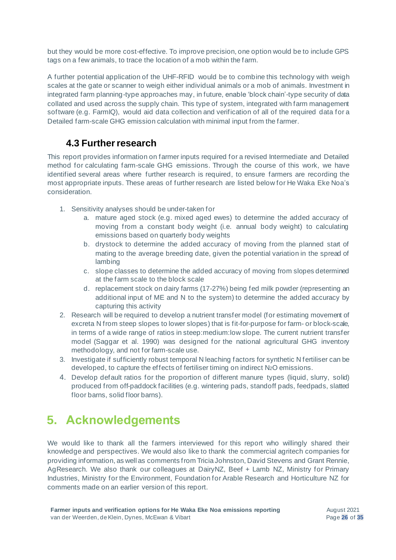but they would be more cost-effective. To improve precision, one option would be to include GPS tags on a few animals, to trace the location of a mob within the farm.

A further potential application of the UHF-RFID would be to combine this technology with weigh scales at the gate or scanner to weigh either individual animals or a mob of animals. Investment in integrated farm planning-type approaches may, in future, enable 'block chain'-type security of data collated and used across the supply chain. This type of system, integrated with farm management software (e.g. FarmIQ), would aid data collection and verification of all of the required data for a Detailed farm-scale GHG emission calculation with minimal input from the farmer.

### <span id="page-29-0"></span>**4.3 Further research**

This report provides information on farmer inputs required for a revised Intermediate and Detailed method for calculating farm-scale GHG emissions. Through the course of this work, we have identified several areas where further research is required, to ensure farmers are recording the most appropriate inputs. These areas of further research are listed below for He Waka Eke Noa's consideration.

- 1. Sensitivity analyses should be under-taken for
	- a. mature aged stock (e.g. mixed aged ewes) to determine the added accuracy of moving from a constant body weight (i.e. annual body weight) to calculating emissions based on quarterly body weights
	- b. drystock to determine the added accuracy of moving from the planned start of mating to the average breeding date, given the potential variation in the spread of lambing
	- c. slope classes to determine the added accuracy of moving from slopes determined at the farm scale to the block scale
	- d. replacement stock on dairy farms (17-27%) being fed milk powder (representing an additional input of ME and N to the system) to determine the added accuracy by capturing this activity
- 2. Research will be required to develop a nutrient transfer model (for estimating movement of excreta N from steep slopes to lower slopes) that is fit-for-purpose for farm- or block-scale, in terms of a wide range of ratios in steep:medium:low slope. The current nutrient transfer model (Saggar et al. 1990) was designed for the national agricultural GHG inventory methodology, and not for farm-scale use.
- 3. Investigate if sufficiently robust temporal N leaching factors for synthetic N fertiliser can be developed, to capture the effects of fertiliser timing on indirect N2O emissions.
- 4. Develop default ratios for the proportion of different manure types (liquid, slurry, solid) produced from off-paddock facilities (e.g. wintering pads, standoff pads, feedpads, slatted floor barns, solid floor barns).

# <span id="page-29-1"></span>**5. Acknowledgements**

We would like to thank all the farmers interviewed for this report who willingly shared their knowledge and perspectives. We would also like to thank the commercial agritech companies for providing information, as well as comments from Tricia Johnston, David Stevens and Grant Rennie, AgResearch. We also thank our colleagues at DairyNZ, Beef + Lamb NZ, Ministry for Primary Industries, Ministry for the Environment, Foundation for Arable Research and Horticulture NZ for comments made on an earlier version of this report.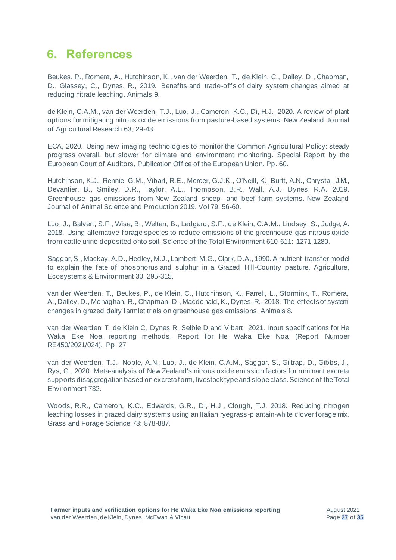### <span id="page-30-0"></span>**6. References**

Beukes, P., Romera, A., Hutchinson, K., van der Weerden, T., de Klein, C., Dalley, D., Chapman, D., Glassey, C., Dynes, R., 2019. Benefits and trade-offs of dairy system changes aimed at reducing nitrate leaching. Animals 9.

de Klein, C.A.M., van der Weerden, T.J., Luo, J., Cameron, K.C., Di, H.J., 2020. A review of plant options for mitigating nitrous oxide emissions from pasture-based systems. New Zealand Journal of Agricultural Research 63, 29-43.

ECA, 2020. Using new imaging technologies to monitor the Common Agricultural Policy: steady progress overall, but slower for climate and environment monitoring. Special Report by the European Court of Auditors, Publication Office of the European Union. Pp. 60.

Hutchinson, K.J., Rennie, G.M., Vibart, R.E., Mercer, G.J.K., O'Neill, K., Burtt, A.N., Chrystal, J.M., Devantier, B., Smiley, D.R., Taylor, A.L., Thompson, B.R., Wall, A.J., Dynes, R.A. 2019. Greenhouse gas emissions from New Zealand sheep- and beef farm systems. New Zealand Journal of Animal Science and Production 2019. Vol 79: 56-60.

Luo, J., Balvert, S.F., Wise, B., Welten, B., Ledgard, S.F., de Klein, C.A.M., Lindsey, S., Judge, A. 2018. Using alternative forage species to reduce emissions of the greenhouse gas nitrous oxide from cattle urine deposited onto soil. Science of the Total Environment 610-611: 1271-1280.

Saggar, S., Mackay, A.D., Hedley, M.J., Lambert, M.G., Clark, D.A., 1990. A nutrient-transfer model to explain the fate of phosphorus and sulphur in a Grazed Hill-Country pasture. Agriculture, Ecosystems & Environment 30, 295-315.

van der Weerden, T., Beukes, P., de Klein, C., Hutchinson, K., Farrell, L., Stormink, T., Romera, A., Dalley, D., Monaghan, R., Chapman, D., Macdonald, K., Dynes, R., 2018. The effects of system changes in grazed dairy farmlet trials on greenhouse gas emissions. Animals 8.

van der Weerden T, de Klein C, Dynes R, Selbie D and Vibart 2021. Input specifications for He Waka Eke Noa reporting methods. Report for He Waka Eke Noa (Report Number RE450/2021/024). Pp. 27

van der Weerden, T.J., Noble, A.N., Luo, J., de Klein, C.A.M., Saggar, S., Giltrap, D., Gibbs, J., Rys, G., 2020. Meta-analysis of New Zealand's nitrous oxide emission factors for ruminant excreta supports disaggregation based on excreta form, livestock type and slope class. Science of the Total Environment 732.

Woods, R.R., Cameron, K.C., Edwards, G.R., Di, H.J., Clough, T.J. 2018. Reducing nitrogen leaching losses in grazed dairy systems using an Italian ryegrass-plantain-white clover forage mix. Grass and Forage Science 73: 878-887.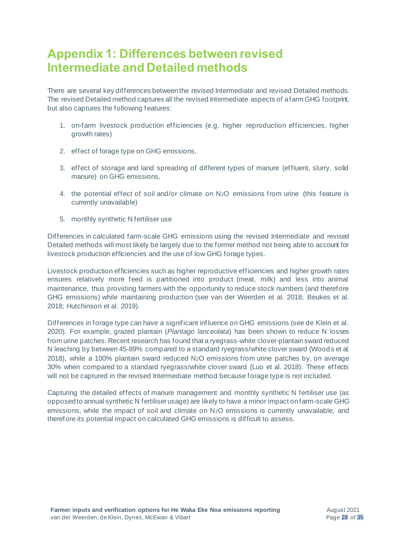# <span id="page-31-0"></span>**Appendix 1: Differences between revised Intermediate and Detailed methods**

There are several key differences between the revised Intermediate and revised Detailed methods. The revised Detailed method captures all the revised Intermediate aspects of a farm GHG footprint, but also captures the following features:

- 1. on-farm livestock production efficiencies (e.g. higher reproduction efficiencies, higher growth rates)
- 2. effect of forage type on GHG emissions,
- 3. effect of storage and land spreading of different types of manure (effluent, slurry, solid manure) on GHG emissions,
- 4. the potential effect of soil and/or climate on N2O emissions from urine (this feature is currently unavailable)
- 5. monthly synthetic N fertiliser use

Differences in calculated farm-scale GHG emissions using the revised Intermediate and revised Detailed methods will most likely be largely due to the former method not being able to account for livestock production efficiencies and the use of low GHG forage types.

Livestock production efficiencies such as higher reproductive efficiencies and higher growth rates ensures relatively more feed is partitioned into product (meat, milk) and less into animal maintenance, thus providing farmers with the opportunity to reduce stock numbers (and therefore GHG emissions) while maintaining production (see van der Weerden et al. 2018; Beukes et al. 2018; Hutchinson et al. 2019).

Differences in forage type can have a significant influence on GHG emissions (see de Klein et al. 2020). For example, grazed plantain (*Plantago lanceolata*) has been shown to reduce N losses from urine patches. Recent research has found that a ryegrass-white clover-plantain sward reduced N leaching by between 45-89% compared to a standard ryegrass/white clover sward (Woods et al. 2018), while a 100% plantain sward reduced N2O emissions from urine patches by, on average 30% when compared to a standard ryegrass/white clover sward (Luo et al. 2018). These effects will not be captured in the revised Intermediate method because forage type is not included.

Capturing the detailed effects of manure management and monthly synthetic N fertiliser use (as opposed to annual synthetic N fertiliser usage) are likely to have a minor impact on farm-scale GHG emissions, while the impact of soil and climate on N2O emissions is currently unavailable, and therefore its potential impact on calculated GHG emissions is difficult to assess.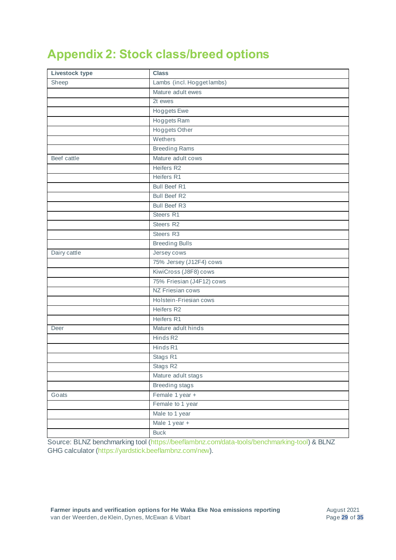# <span id="page-32-0"></span>**Appendix 2: Stock class/breed options**

| Livestock type | <b>Class</b>               |
|----------------|----------------------------|
| Sheep          | Lambs (incl. Hogget lambs) |
|                | Mature adult ewes          |
|                | 2t ewes                    |
|                | <b>Hoggets</b> Ewe         |
|                | Hoggets Ram                |
|                | <b>Hoggets Other</b>       |
|                | Wethers                    |
|                | <b>Breeding Rams</b>       |
| Beef cattle    | Mature adult cows          |
|                | Heifers R2                 |
|                | Heifers R1                 |
|                | <b>Bull Beef R1</b>        |
|                | <b>Bull Beef R2</b>        |
|                | <b>Bull Beef R3</b>        |
|                | Steers R1                  |
|                | Steers R2                  |
|                | Steers R3                  |
|                | <b>Breeding Bulls</b>      |
| Dairy cattle   | Jersey cows                |
|                | 75% Jersey (J12F4) cows    |
|                | KiwiCross (J8F8) cows      |
|                | 75% Friesian (J4F12) cows  |
|                | NZ Friesian cows           |
|                | Holstein-Friesian cows     |
|                | Heifers R2                 |
|                | Heifers R1                 |
| Deer           | Mature adult hinds         |
|                | Hinds R2                   |
|                | Hinds R1                   |
|                | Stags R1                   |
|                | Stags R2                   |
|                | Mature adult stags         |
|                | Breeding stags             |
| Goats          | Female 1 year +            |
|                | Female to 1 year           |
|                | Male to 1 year             |
|                | Male 1 year +              |
|                | <b>Buck</b>                |

Source: BLNZ benchmarking tool [\(https://beeflambnz.com/data-tools/benchmarking-tool](https://beeflambnz.com/data-tools/benchmarking-tool)) & BLNZ GHG calculator [\(https://yardstick.beeflambnz.com/new](https://yardstick.beeflambnz.com/new)).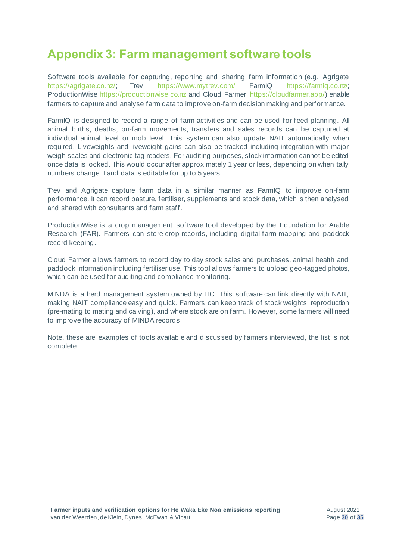# <span id="page-33-0"></span>**Appendix 3: Farm management software tools**

Software tools available for capturing, reporting and sharing farm information (e.g. Agrigate [https://agrigate.co.nz/;](https://agrigate.co.nz/) Trev <https://www.mytrev.com/>; FarmIQ [https://farmiq.co.nz/;](https://farmiq.co.nz/) ProductionWise [https://productionwise.co.nz](https://productionwise.co.nz/) and Cloud Farmer<https://cloudfarmer.app/>) enable farmers to capture and analyse farm data to improve on-farm decision making and performance.

FarmIQ is designed to record a range of farm activities and can be used for feed planning. All animal births, deaths, on-farm movements, transfers and sales records can be captured at individual animal level or mob level. This system can also update NAIT automatically when required. Liveweights and liveweight gains can also be tracked including integration with major weigh scales and electronic tag readers. For auditing purposes, stock information cannot be edited once data is locked. This would occur after approximately 1 year or less, depending on when tally numbers change. Land data is editable for up to 5 years.

Trev and Agrigate capture farm data in a similar manner as FarmIQ to improve on-farm performance. It can record pasture, fertiliser, supplements and stock data, which is then analysed and shared with consultants and farm staff.

ProductionWise is a crop management software tool developed by the Foundation for Arable Research (FAR). Farmers can store crop records, including digital farm mapping and paddock record keeping.

Cloud Farmer allows farmers to record day to day stock sales and purchases, animal health and paddock information including fertiliser use. This tool allows farmers to upload geo-tagged photos, which can be used for auditing and compliance monitoring.

MINDA is a herd management system owned by LIC. This software can link directly with NAIT, making NAIT compliance easy and quick. Farmers can keep track of stock weights, reproduction (pre-mating to mating and calving), and where stock are on farm. However, some farmers will need to improve the accuracy of MINDA records.

Note, these are examples of tools available and discussed by farmers interviewed, the list is not complete.